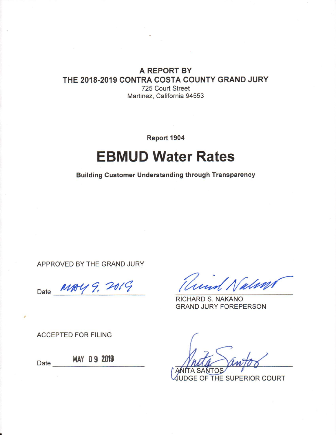#### A REPORT BY THE 2018-2019 CONTRA COSTA COUNTY GRAND JURY 725 Court Street Martinez, California 94553

Report 1904

# **EBMUD Water Rates**

**Building Customer Understanding through Transparency** 

APPROVED BY THE GRAND JURY

MAY 9. 2019 Date

und Nations

RICHARD S. NAKANO **GRAND JURY FOREPERSON** 

**ACCEPTED FOR FILING** 

Date

MAY 09 2019

SANT

UDGE OF THE SUPERIOR COURT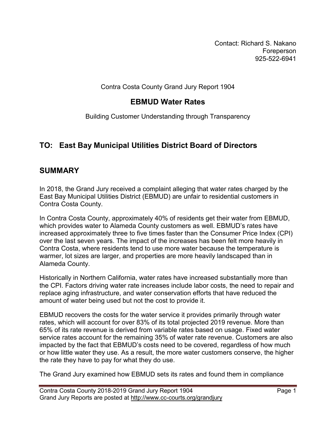Contact: Richard S. Nakano Foreperson 925-522-6941

Contra Costa County Grand Jury Report 1904

### **EBMUD Water Rates**

Building Customer Understanding through Transparency

# **TO: East Bay Municipal Utilities District Board of Directors**

#### **SUMMARY**

In 2018, the Grand Jury received a complaint alleging that water rates charged by the East Bay Municipal Utilities District (EBMUD) are unfair to residential customers in Contra Costa County.

In Contra Costa County, approximately 40% of residents get their water from EBMUD, which provides water to Alameda County customers as well. EBMUD's rates have increased approximately three to five times faster than the Consumer Price Index (CPI) over the last seven years. The impact of the increases has been felt more heavily in Contra Costa, where residents tend to use more water because the temperature is warmer, lot sizes are larger, and properties are more heavily landscaped than in Alameda County.

Historically in Northern California, water rates have increased substantially more than the CPI. Factors driving water rate increases include labor costs, the need to repair and replace aging infrastructure, and water conservation efforts that have reduced the amount of water being used but not the cost to provide it.

EBMUD recovers the costs for the water service it provides primarily through water rates, which will account for over 83% of its total projected 2019 revenue. More than 65% of its rate revenue is derived from variable rates based on usage. Fixed water service rates account for the remaining 35% of water rate revenue. Customers are also impacted by the fact that EBMUD's costs need to be covered, regardless of how much or how little water they use. As a result, the more water customers conserve, the higher the rate they have to pay for what they do use.

The Grand Jury examined how EBMUD sets its rates and found them in compliance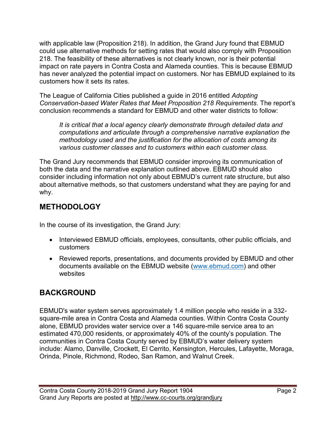with applicable law (Proposition 218). In addition, the Grand Jury found that EBMUD could use alternative methods for setting rates that would also comply with Proposition 218. The feasibility of these alternatives is not clearly known, nor is their potential impact on rate payers in Contra Costa and Alameda counties. This is because EBMUD has never analyzed the potential impact on customers. Nor has EBMUD explained to its customers how it sets its rates.

The League of California Cities published a guide in 2016 entitled *Adopting Conservation-based Water Rates that Meet Proposition 218 Requirements*. The report's conclusion recommends a standard for EBMUD and other water districts to follow:

*It is critical that a local agency clearly demonstrate through detailed data and computations and articulate through a comprehensive narrative explanation the methodology used and the justification for the allocation of costs among its various customer classes and to customers within each customer class.*

The Grand Jury recommends that EBMUD consider improving its communication of both the data and the narrative explanation outlined above. EBMUD should also consider including information not only about EBMUD's current rate structure, but also about alternative methods, so that customers understand what they are paying for and why.

# **METHODOLOGY**

In the course of its investigation, the Grand Jury:

- Interviewed EBMUD officials, employees, consultants, other public officials, and customers
- Reviewed reports, presentations, and documents provided by EBMUD and other documents available on the EBMUD website [\(www.ebmud.com\)](http://www.ebmud.com/) and other websites

# **BACKGROUND**

EBMUD's water system serves approximately 1.4 million people who reside in a 332 square-mile area in Contra Costa and Alameda counties. Within Contra Costa County alone, EBMUD provides water service over a 146 square-mile service area to an estimated 470,000 residents, or approximately 40% of the county's population. The communities in Contra Costa County served by EBMUD's water delivery system include: Alamo, Danville, Crockett, El Cerrito, Kensington, Hercules, Lafayette, Moraga, Orinda, Pinole, Richmond, Rodeo, San Ramon, and Walnut Creek.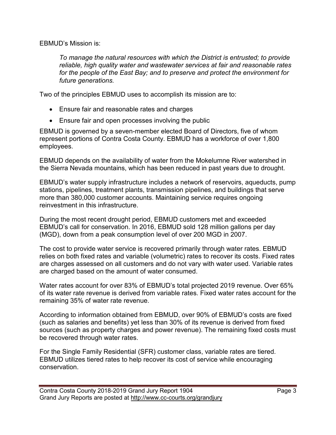EBMUD's Mission is:

*To manage the natural resources with which the District is entrusted; to provide reliable, high quality water and wastewater services at fair and reasonable rates for the people of the East Bay; and to preserve and protect the environment for future generations.*

Two of the principles EBMUD uses to accomplish its mission are to:

- Ensure fair and reasonable rates and charges
- Ensure fair and open processes involving the public

EBMUD is governed by a seven-member elected Board of Directors, five of whom represent portions of Contra Costa County. EBMUD has a workforce of over 1,800 employees.

EBMUD depends on the availability of water from the Mokelumne River watershed in the Sierra Nevada mountains, which has been reduced in past years due to drought.

EBMUD's water supply infrastructure includes a network of reservoirs, aqueducts, pump stations, pipelines, treatment plants, transmission pipelines, and buildings that serve more than 380,000 customer accounts. Maintaining service requires ongoing reinvestment in this infrastructure.

During the most recent drought period, EBMUD customers met and exceeded EBMUD's call for conservation. In 2016, EBMUD sold 128 million gallons per day (MGD), down from a peak consumption level of over 200 MGD in 2007.

The cost to provide water service is recovered primarily through water rates. EBMUD relies on both fixed rates and variable (volumetric) rates to recover its costs. Fixed rates are charges assessed on all customers and do not vary with water used. Variable rates are charged based on the amount of water consumed.

Water rates account for over 83% of EBMUD's total projected 2019 revenue. Over 65% of its water rate revenue is derived from variable rates. Fixed water rates account for the remaining 35% of water rate revenue.

According to information obtained from EBMUD, over 90% of EBMUD's costs are fixed (such as salaries and benefits) yet less than 30% of its revenue is derived from fixed sources (such as property charges and power revenue). The remaining fixed costs must be recovered through water rates.

For the Single Family Residential (SFR) customer class, variable rates are tiered. EBMUD utilizes tiered rates to help recover its cost of service while encouraging conservation.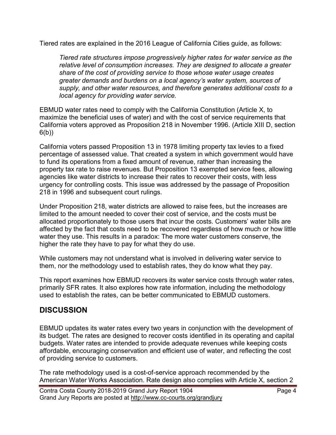Tiered rates are explained in the 2016 League of California Cities guide, as follows:

*Tiered rate structures impose progressively higher rates for water service as the relative level of consumption increases. They are designed to allocate a greater share of the cost of providing service to those whose water usage creates greater demands and burdens on a local agency's water system, sources of supply, and other water resources, and therefore generates additional costs to a local agency for providing water service.*

EBMUD water rates need to comply with the California Constitution (Article X, to maximize the beneficial uses of water) and with the cost of service requirements that California voters approved as Proposition 218 in November 1996. (Article XIII D, section 6(b))

California voters passed Proposition 13 in 1978 limiting property tax levies to a fixed percentage of assessed value. That created a system in which government would have to fund its operations from a fixed amount of revenue, rather than increasing the property tax rate to raise revenues. But Proposition 13 exempted service fees, allowing agencies like water districts to increase their rates to recover their costs, with less urgency for controlling costs. This issue was addressed by the passage of Proposition 218 in 1996 and subsequent court rulings.

Under Proposition 218, water districts are allowed to raise fees, but the increases are limited to the amount needed to cover their cost of service, and the costs must be allocated proportionately to those users that incur the costs. Customers' water bills are affected by the fact that costs need to be recovered regardless of how much or how little water they use. This results in a paradox: The more water customers conserve, the higher the rate they have to pay for what they do use.

While customers may not understand what is involved in delivering water service to them, nor the methodology used to establish rates, they do know what they pay.

This report examines how EBMUD recovers its water service costs through water rates, primarily SFR rates. It also explores how rate information, including the methodology used to establish the rates, can be better communicated to EBMUD customers.

#### **DISCUSSION**

EBMUD updates its water rates every two years in conjunction with the development of its budget. The rates are designed to recover costs identified in its operating and capital budgets. Water rates are intended to provide adequate revenues while keeping costs affordable, encouraging conservation and efficient use of water, and reflecting the cost of providing service to customers.

The rate methodology used is a cost-of-service approach recommended by the American Water Works Association. Rate design also complies with Article X, section 2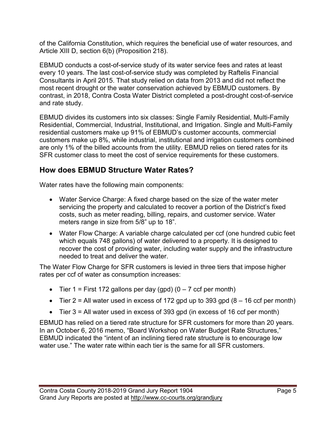of the California Constitution, which requires the beneficial use of water resources, and Article XIII D, section 6(b) (Proposition 218).

EBMUD conducts a cost-of-service study of its water service fees and rates at least every 10 years. The last cost-of-service study was completed by Raftelis Financial Consultants in April 2015. That study relied on data from 2013 and did not reflect the most recent drought or the water conservation achieved by EBMUD customers. By contrast, in 2018, Contra Costa Water District completed a post-drought cost-of-service and rate study.

EBMUD divides its customers into six classes: Single Family Residential, Multi-Family Residential, Commercial, Industrial, Institutional, and Irrigation. Single and Multi-Family residential customers make up 91% of EBMUD's customer accounts, commercial customers make up 8%, while industrial, institutional and irrigation customers combined are only 1% of the billed accounts from the utility. EBMUD relies on tiered rates for its SFR customer class to meet the cost of service requirements for these customers.

# **How does EBMUD Structure Water Rates?**

Water rates have the following main components:

- Water Service Charge: A fixed charge based on the size of the water meter servicing the property and calculated to recover a portion of the District's fixed costs, such as meter reading, billing, repairs, and customer service. Water meters range in size from 5/8" up to 18".
- Water Flow Charge: A variable charge calculated per ccf (one hundred cubic feet which equals 748 gallons) of water delivered to a property. It is designed to recover the cost of providing water, including water supply and the infrastructure needed to treat and deliver the water.

The Water Flow Charge for SFR customers is levied in three tiers that impose higher rates per ccf of water as consumption increases:

- Tier 1 = First 172 gallons per day (gpd)  $(0 7 \text{ ccf per month})$
- Tier  $2 =$  All water used in excess of 172 gpd up to 393 gpd  $(8 16 \text{ ccf per month})$
- Tier  $3 =$  All water used in excess of 393 gpd (in excess of 16 ccf per month)

EBMUD has relied on a tiered rate structure for SFR customers for more than 20 years. In an October 6, 2016 memo, "Board Workshop on Water Budget Rate Structures," EBMUD indicated the "intent of an inclining tiered rate structure is to encourage low water use." The water rate within each tier is the same for all SFR customers.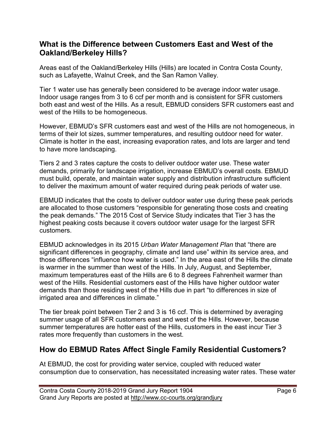#### **What is the Difference between Customers East and West of the Oakland/Berkeley Hills?**

Areas east of the Oakland/Berkeley Hills (Hills) are located in Contra Costa County, such as Lafayette, Walnut Creek, and the San Ramon Valley.

Tier 1 water use has generally been considered to be average indoor water usage. Indoor usage ranges from 3 to 6 ccf per month and is consistent for SFR customers both east and west of the Hills. As a result, EBMUD considers SFR customers east and west of the Hills to be homogeneous.

However, EBMUD's SFR customers east and west of the Hills are not homogeneous, in terms of their lot sizes, summer temperatures, and resulting outdoor need for water. Climate is hotter in the east, increasing evaporation rates, and lots are larger and tend to have more landscaping.

Tiers 2 and 3 rates capture the costs to deliver outdoor water use. These water demands, primarily for landscape irrigation, increase EBMUD's overall costs. EBMUD must build, operate, and maintain water supply and distribution infrastructure sufficient to deliver the maximum amount of water required during peak periods of water use.

EBMUD indicates that the costs to deliver outdoor water use during these peak periods are allocated to those customers "responsible for generating those costs and creating the peak demands." The 2015 Cost of Service Study indicates that Tier 3 has the highest peaking costs because it covers outdoor water usage for the largest SFR customers.

EBMUD acknowledges in its 2015 *Urban Water Management Plan* that "there are significant differences in geography, climate and land use" within its service area, and those differences "influence how water is used." In the area east of the Hills the climate is warmer in the summer than west of the Hills. In July, August, and September, maximum temperatures east of the Hills are 6 to 8 degrees Fahrenheit warmer than west of the Hills. Residential customers east of the Hills have higher outdoor water demands than those residing west of the Hills due in part "to differences in size of irrigated area and differences in climate."

The tier break point between Tier 2 and 3 is 16 ccf. This is determined by averaging summer usage of all SFR customers east and west of the Hills. However, because summer temperatures are hotter east of the Hills, customers in the east incur Tier 3 rates more frequently than customers in the west.

#### **How do EBMUD Rates Affect Single Family Residential Customers?**

At EBMUD, the cost for providing water service, coupled with reduced water consumption due to conservation, has necessitated increasing water rates. These water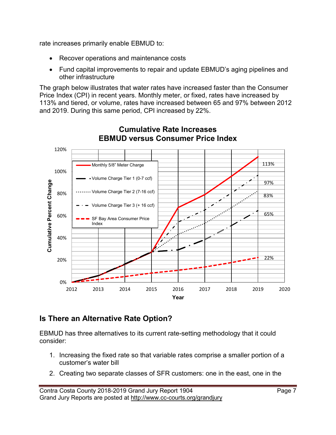rate increases primarily enable EBMUD to:

- Recover operations and maintenance costs
- Fund capital improvements to repair and update EBMUD's aging pipelines and other infrastructure

The graph below illustrates that water rates have increased faster than the Consumer Price Index (CPI) in recent years. Monthly meter, or fixed, rates have increased by 113% and tiered, or volume, rates have increased between 65 and 97% between 2012 and 2019. During this same period, CPI increased by 22%.



#### **Cumulative Rate Increases EBMUD versus Consumer Price Index**

# **Is There an Alternative Rate Option?**

EBMUD has three alternatives to its current rate-setting methodology that it could consider:

- 1. Increasing the fixed rate so that variable rates comprise a smaller portion of a customer's water bill
- 2. Creating two separate classes of SFR customers: one in the east, one in the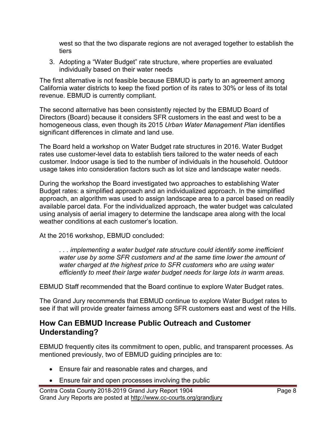west so that the two disparate regions are not averaged together to establish the tiers

3. Adopting a "Water Budget" rate structure, where properties are evaluated individually based on their water needs

The first alternative is not feasible because EBMUD is party to an agreement among California water districts to keep the fixed portion of its rates to 30% or less of its total revenue. EBMUD is currently compliant.

The second alternative has been consistently rejected by the EBMUD Board of Directors (Board) because it considers SFR customers in the east and west to be a homogeneous class, even though its 2015 *Urban Water Management Plan* identifies significant differences in climate and land use.

The Board held a workshop on Water Budget rate structures in 2016. Water Budget rates use customer-level data to establish tiers tailored to the water needs of each customer. Indoor usage is tied to the number of individuals in the household. Outdoor usage takes into consideration factors such as lot size and landscape water needs.

During the workshop the Board investigated two approaches to establishing Water Budget rates: a simplified approach and an individualized approach. In the simplified approach, an algorithm was used to assign landscape area to a parcel based on readily available parcel data. For the individualized approach, the water budget was calculated using analysis of aerial imagery to determine the landscape area along with the local weather conditions at each customer's location.

At the 2016 workshop, EBMUD concluded:

*. . . implementing a water budget rate structure could identify some inefficient water use by some SFR customers and at the same time lower the amount of water charged at the highest price to SFR customers who are using water efficiently to meet their large water budget needs for large lots in warm areas.*

EBMUD Staff recommended that the Board continue to explore Water Budget rates.

The Grand Jury recommends that EBMUD continue to explore Water Budget rates to see if that will provide greater fairness among SFR customers east and west of the Hills.

#### **How Can EBMUD Increase Public Outreach and Customer Understanding?**

EBMUD frequently cites its commitment to open, public, and transparent processes. As mentioned previously, two of EBMUD guiding principles are to:

- Ensure fair and reasonable rates and charges, and
- Ensure fair and open processes involving the public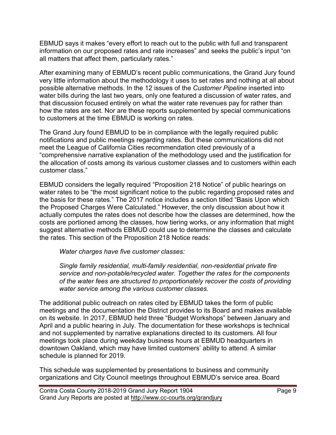EBMUD says it makes "every effort to reach out to the public with full and transparent information on our proposed rates and rate increases" and seeks the public's input "on all matters that affect them, particularly rates."

After examining many of EBMUD's recent public communications, the Grand Jury found very little information about the methodology it uses to set rates and nothing at all about possible alternative methods. In the 12 issues of the *Customer Pipeline* inserted into water bills during the last two years, only one featured a discussion of water rates, and that discussion focused entirely on what the water rate revenues pay for rather than how the rates are set. Nor are these reports supplemented by special communications to customers at the time EBMUD is working on rates.

The Grand Jury found EBMUD to be in compliance with the legally required public notifications and public meetings regarding rates. But these communications did not meet the League of California Cities recommendation cited previously of a "comprehensive narrative explanation of the methodology used and the justification for the allocation of costs among its various customer classes and to customers within each customer class."

EBMUD considers the legally required "Proposition 218 Notice" of public hearings on water rates to be "the most significant notice to the public regarding proposed rates and the basis for these rates." The 2017 notice includes a section titled "Basis Upon which the Proposed Charges Were Calculated." However, the only discussion about how it actually computes the rates does not describe how the classes are determined, how the costs are portioned among the classes, how tiering works, or any information that might suggest alternative methods EBMUD could use to determine the classes and calculate the rates. This section of the Proposition 218 Notice reads:

*Water charges have five customer classes:*

*Single family residential, multi-family residential, non-residential private fire service and non-potable/recycled water. Together the rates for the components of the water fees are structured to proportionately recover the costs of providing water service among the various customer classes.*

The additional public outreach on rates cited by EBMUD takes the form of public meetings and the documentation the District provides to its Board and makes available on its website. In 2017, EBMUD held three "Budget Workshops" between January and April and a public hearing in July. The documentation for these workshops is technical and not supplemented by narrative explanations directed to its customers. All four meetings took place during weekday business hours at EBMUD headquarters in downtown Oakland, which may have limited customers' ability to attend. A similar schedule is planned for 2019.

This schedule was supplemented by presentations to business and community organizations and City Council meetings throughout EBMUD's service area. Board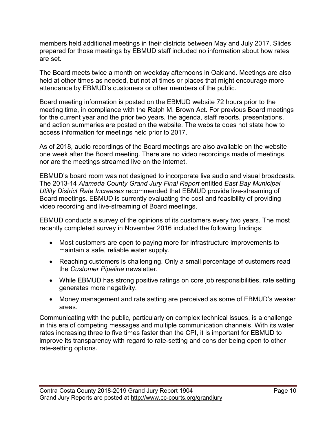members held additional meetings in their districts between May and July 2017. Slides prepared for those meetings by EBMUD staff included no information about how rates are set.

The Board meets twice a month on weekday afternoons in Oakland. Meetings are also held at other times as needed, but not at times or places that might encourage more attendance by EBMUD's customers or other members of the public.

Board meeting information is posted on the EBMUD website 72 hours prior to the meeting time, in compliance with the Ralph M. Brown Act. For previous Board meetings for the current year and the prior two years, the agenda, staff reports, presentations, and action summaries are posted on the website. The website does not state how to access information for meetings held prior to 2017.

As of 2018, audio recordings of the Board meetings are also available on the website one week after the Board meeting. There are no video recordings made of meetings, nor are the meetings streamed live on the Internet.

EBMUD's board room was not designed to incorporate live audio and visual broadcasts. The 2013-14 *Alameda County Grand Jury Final Report* entitled *East Bay Municipal Utility District Rate Increases* recommended that EBMUD provide live-streaming of Board meetings. EBMUD is currently evaluating the cost and feasibility of providing video recording and live-streaming of Board meetings.

EBMUD conducts a survey of the opinions of its customers every two years. The most recently completed survey in November 2016 included the following findings:

- Most customers are open to paying more for infrastructure improvements to maintain a safe, reliable water supply.
- Reaching customers is challenging. Only a small percentage of customers read the *Customer Pipeline* newsletter.
- While EBMUD has strong positive ratings on core job responsibilities, rate setting generates more negativity.
- Money management and rate setting are perceived as some of EBMUD's weaker areas.

Communicating with the public, particularly on complex technical issues, is a challenge in this era of competing messages and multiple communication channels. With its water rates increasing three to five times faster than the CPI, it is important for EBMUD to improve its transparency with regard to rate-setting and consider being open to other rate-setting options.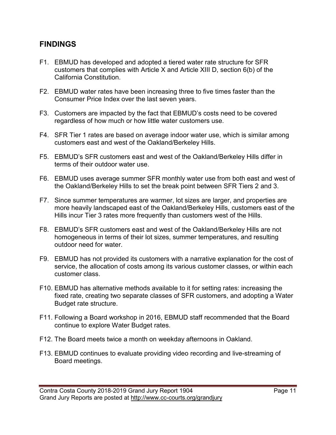#### **FINDINGS**

- F1. EBMUD has developed and adopted a tiered water rate structure for SFR customers that complies with Article X and Article XIII D, section 6(b) of the California Constitution.
- F2. EBMUD water rates have been increasing three to five times faster than the Consumer Price Index over the last seven years.
- F3. Customers are impacted by the fact that EBMUD's costs need to be covered regardless of how much or how little water customers use.
- F4. SFR Tier 1 rates are based on average indoor water use, which is similar among customers east and west of the Oakland/Berkeley Hills.
- F5. EBMUD's SFR customers east and west of the Oakland/Berkeley Hills differ in terms of their outdoor water use.
- F6. EBMUD uses average summer SFR monthly water use from both east and west of the Oakland/Berkeley Hills to set the break point between SFR Tiers 2 and 3.
- F7. Since summer temperatures are warmer, lot sizes are larger, and properties are more heavily landscaped east of the Oakland/Berkeley Hills, customers east of the Hills incur Tier 3 rates more frequently than customers west of the Hills.
- F8. EBMUD's SFR customers east and west of the Oakland/Berkeley Hills are not homogeneous in terms of their lot sizes, summer temperatures, and resulting outdoor need for water.
- F9. EBMUD has not provided its customers with a narrative explanation for the cost of service, the allocation of costs among its various customer classes, or within each customer class.
- F10. EBMUD has alternative methods available to it for setting rates: increasing the fixed rate, creating two separate classes of SFR customers, and adopting a Water Budget rate structure.
- F11. Following a Board workshop in 2016, EBMUD staff recommended that the Board continue to explore Water Budget rates.
- F12. The Board meets twice a month on weekday afternoons in Oakland.
- F13. EBMUD continues to evaluate providing video recording and live-streaming of Board meetings.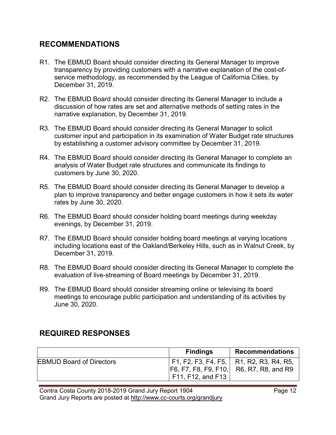#### **RECOMMENDATIONS**

- R1. The EBMUD Board should consider directing its General Manager to improve transparency by providing customers with a narrative explanation of the cost-ofservice methodology, as recommended by the League of California Cities, by December 31, 2019.
- R2. The EBMUD Board should consider directing its General Manager to include a discussion of how rates are set and alternative methods of setting rates in the narrative explanation, by December 31, 2019.
- R3. The EBMUD Board should consider directing its General Manager to solicit customer input and participation in its examination of Water Budget rate structures by establishing a customer advisory committee by December 31, 2019.
- R4. The EBMUD Board should consider directing its General Manager to complete an analysis of Water Budget rate structures and communicate its findings to customers by June 30, 2020.
- R5. The EBMUD Board should consider directing its General Manager to develop a plan to improve transparency and better engage customers in how it sets its water rates by June 30, 2020.
- R6. The EBMUD Board should consider holding board meetings during weekday evenings, by December 31, 2019.
- R7. The EBMUD Board should consider holding board meetings at varying locations including locations east of the Oakland/Berkeley Hills, such as in Walnut Creek, by December 31, 2019.
- R8. The EBMUD Board should consider directing its General Manager to complete the evaluation of live-streaming of Board meetings by December 31, 2019.
- R9. The EBMUD Board should consider streaming online or televising its board meetings to encourage public participation and understanding of its activities by June 30, 2020.

# **REQUIRED RESPONSES**

|                                 | <b>Findings</b>   | <b>Recommendations</b>                                                                 |
|---------------------------------|-------------------|----------------------------------------------------------------------------------------|
| <b>EBMUD Board of Directors</b> | F11, F12, and F13 | F1, F2, F3, F4, F5,   R1, R2, R3, R4, R5,<br> F6, F7, F8, F9, F10,  R6, R7, R8, and R9 |

Contra Costa County 2018-2019 Grand Jury Report 1904 Grand Jury Reports are posted at http://www.cc-courts.org/grandjury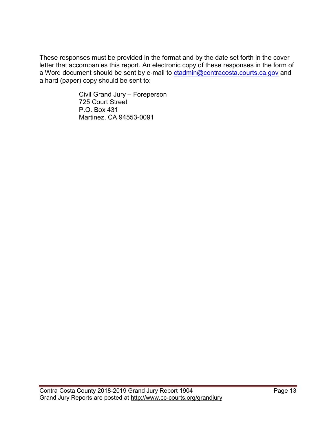These responses must be provided in the format and by the date set forth in the cover letter that accompanies this report. An electronic copy of these responses in the form of a Word document should be sent by e-mail to [ctadmin@contracosta.courts.ca.gov](mailto:clope2@contracosta.courts.ca.gov) and a hard (paper) copy should be sent to:

> Civil Grand Jury – Foreperson 725 Court Street P.O. Box 431 Martinez, CA 94553-0091